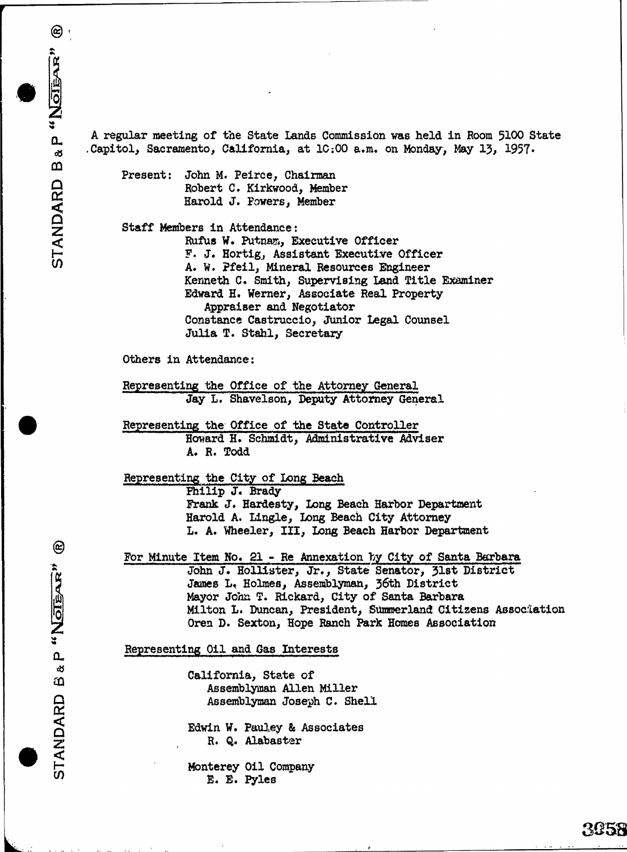$\circlede$ 

A regular meeting of the State Lands Commission was held in Room 5100 State Capitol, Sacramento, California, at 10:00 a.m. on Monday, May 13, 1957. Present: John M. Peirce, Chairman Robert C. Kirkwood, Member Harold J. Powers, Member Staff Members in Attendance : Rufus W. Putnam, Executive Officer<br>F. J. Hortig, Assistant Executive Officer F. J. Horting, Assistant Executive Officer STANDARD B Sacramento, California, at 10:00 a.m. on Monda<br>
Present: John M. Peirce, Chairman<br>
Robert C. Kirkwood, Member<br>
Barold J. Powers, Member<br>
Staff Members in Attendance:<br>
R Kenneth C. Smith, Supervising Land Title Examiner Edward H. Werner, Associate Real Property Appraiser and Negotiator Constance Castruccio, Junior Legal Counsel Julia T. Stahl, Secretary Others in Attendance: Representing the Office of the Attorney General Jay L. Shavelson, Deputy Attorney General Representing the Office of the State Controller Howard H. Schmidt, Administrative Adviser A. R. Todd Representing the City of Long Beach Philip J. Brady Frank J. Hardesty, Long Beach Harbor Department Harold A. Lingle, Long Beach City Attorney L. A. Wheeler, III, Long Beach Harbor Department For Minute Item No. 21 - Re Annexation by City of Santa Barbara John J. Hollister, Jr., State Senator, 31st District James L. Holmes, Assemblyman, 36th District Mayor John T. Rickard, City of Santa Barbara Milton L. Duncan, President, Summerland Citizens Association Oren D. Sexton, Hope Ranch Park Homes Association Representing Oil and Gas Interests California, State of Assemblyman Allen Miller Assemblyman Joseph C. Shell Edwin W. Pauley & Associates R. Q. Alabaster Nohn J. Hollister, John J. Hollister, J.<br>
John J. Hollister, J.<br>
Mayor John T. Rickard<br>
Milton L. Duncan, Precenting Oil and Gas Interesting Company<br>
Representing Oil and Gas Interesting Company<br>
State of Assemblyman Allen

3058